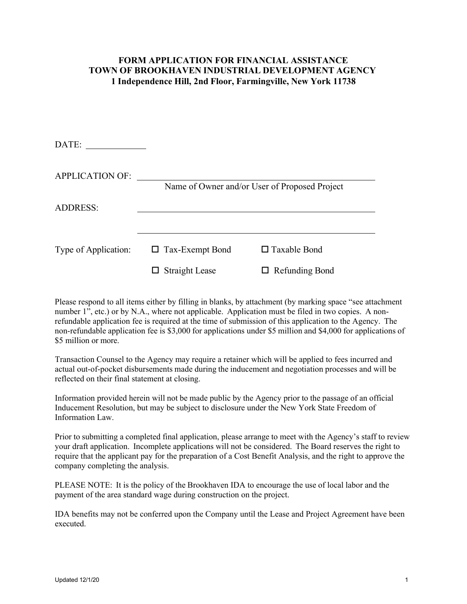### **FORM APPLICATION FOR FINANCIAL ASSISTANCE TOWN OF BROOKHAVEN INDUSTRIAL DEVELOPMENT AGENCY 1 Independence Hill, 2nd Floor, Farmingville, New York 11738**

| DATE:                  |                        |                                               |
|------------------------|------------------------|-----------------------------------------------|
| <b>APPLICATION OF:</b> |                        | Name of Owner and/or User of Proposed Project |
| <b>ADDRESS:</b>        |                        |                                               |
| Type of Application:   | $\Box$ Tax-Exempt Bond | $\Box$ Taxable Bond                           |
|                        | <b>Straight Lease</b>  | $\Box$ Refunding Bond                         |

Please respond to all items either by filling in blanks, by attachment (by marking space "see attachment number 1<sup>"</sup>, etc.) or by N.A., where not applicable. Application must be filed in two copies. A nonrefundable application fee is required at the time of submission of this application to the Agency. The non-refundable application fee is \$3,000 for applications under \$5 million and \$4,000 for applications of \$5 million or more.

Transaction Counsel to the Agency may require a retainer which will be applied to fees incurred and actual out-of-pocket disbursements made during the inducement and negotiation processes and will be reflected on their final statement at closing.

Information provided herein will not be made public by the Agency prior to the passage of an official Inducement Resolution, but may be subject to disclosure under the New York State Freedom of Information Law.

Prior to submitting a completed final application, please arrange to meet with the Agency's staff to review your draft application. Incomplete applications will not be considered. The Board reserves the right to require that the applicant pay for the preparation of a Cost Benefit Analysis, and the right to approve the company completing the analysis.

PLEASE NOTE: It is the policy of the Brookhaven IDA to encourage the use of local labor and the payment of the area standard wage during construction on the project.

IDA benefits may not be conferred upon the Company until the Lease and Project Agreement have been executed.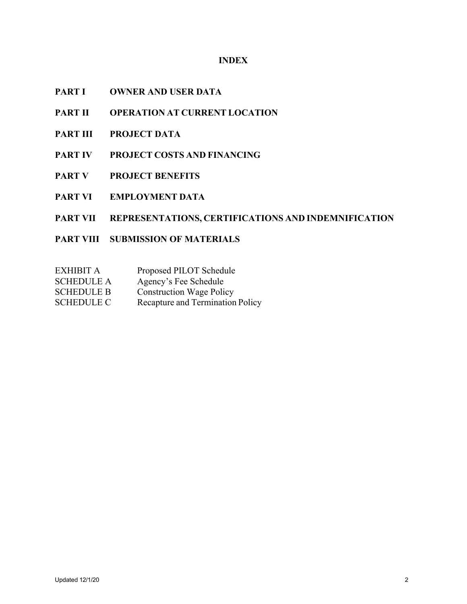## **INDEX**

- **PART I OWNER AND USER DATA**
- **PART II OPERATION AT CURRENT LOCATION**
- **PART III PROJECT DATA**
- **PART IV PROJECT COSTS AND FINANCING**
- **PART V PROJECT BENEFITS**
- **PART VI EMPLOYMENT DATA**

## **PART VII REPRESENTATIONS, CERTIFICATIONS AND INDEMNIFICATION**

- **PART VIII SUBMISSION OF MATERIALS**
- EXHIBIT A Proposed PILOT Schedule
- SCHEDULE A Agency's Fee Schedule
- SCHEDULE B Construction Wage Policy
- SCHEDULE C Recapture and Termination Policy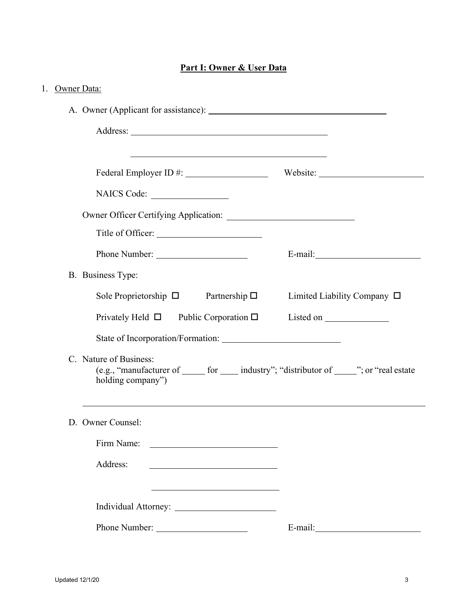# **Part I: Owner & User Data**

| 1. Owner Data:                                                                                                                             |                                  |
|--------------------------------------------------------------------------------------------------------------------------------------------|----------------------------------|
|                                                                                                                                            |                                  |
|                                                                                                                                            |                                  |
| <u> 1989 - Johann Stoff, amerikansk politiker (d. 1989)</u>                                                                                |                                  |
|                                                                                                                                            |                                  |
| NAICS Code:                                                                                                                                |                                  |
|                                                                                                                                            |                                  |
|                                                                                                                                            |                                  |
|                                                                                                                                            |                                  |
| B. Business Type:                                                                                                                          |                                  |
| Sole Proprietorship $\square$ Partnership $\square$                                                                                        | Limited Liability Company $\Box$ |
| Privately Held $\square$ Public Corporation $\square$                                                                                      |                                  |
| State of Incorporation/Formation:                                                                                                          |                                  |
| C. Nature of Business:<br>(e.g., "manufacturer of ______ for _____ industry"; "distributor of _____"; or "real estate<br>holding company") |                                  |
| D. Owner Counsel:                                                                                                                          |                                  |
|                                                                                                                                            |                                  |
| Address:<br><u> 1989 - Johann Barn, mars ann an t-Amhain ann an t-Amhain an t-Amhain an t-Amhain an t-Amhain an t-Amhain an t-</u>         |                                  |
| <u> 1980 - Johann Barn, amerikan bestemannten bestemannten bestemannten bestemannten bestemannten bestemannten b</u>                       |                                  |
|                                                                                                                                            |                                  |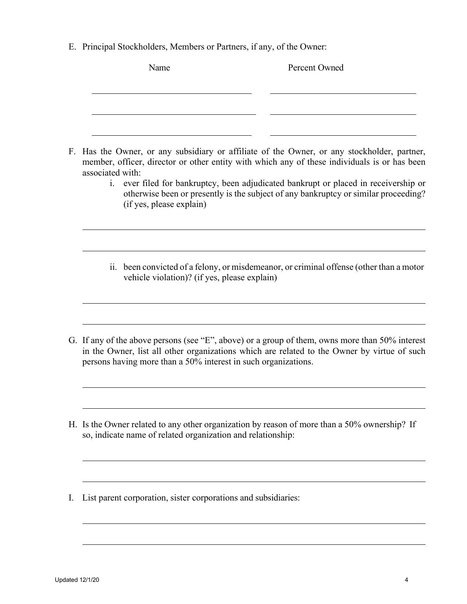E. Principal Stockholders, Members or Partners, if any, of the Owner:

|    | Name                                                           | Percent Owned                                                                                                                                                                                                                                                                                                                                                        |
|----|----------------------------------------------------------------|----------------------------------------------------------------------------------------------------------------------------------------------------------------------------------------------------------------------------------------------------------------------------------------------------------------------------------------------------------------------|
|    |                                                                |                                                                                                                                                                                                                                                                                                                                                                      |
| F. | associated with:<br>1.<br>(if yes, please explain)             | Has the Owner, or any subsidiary or affiliate of the Owner, or any stockholder, partner,<br>member, officer, director or other entity with which any of these individuals is or has been<br>ever filed for bankruptcy, been adjudicated bankrupt or placed in receivership or<br>otherwise been or presently is the subject of any bankruptcy or similar proceeding? |
|    | vehicle violation)? (if yes, please explain)                   | ii. been convicted of a felony, or misdemeanor, or criminal offense (other than a motor                                                                                                                                                                                                                                                                              |
|    | persons having more than a 50% interest in such organizations. | G. If any of the above persons (see "E", above) or a group of them, owns more than 50% interest<br>in the Owner, list all other organizations which are related to the Owner by virtue of such                                                                                                                                                                       |
| Н. | so, indicate name of related organization and relationship:    | Is the Owner related to any other organization by reason of more than a 50% ownership? If                                                                                                                                                                                                                                                                            |
| I. | List parent corporation, sister corporations and subsidiaries: |                                                                                                                                                                                                                                                                                                                                                                      |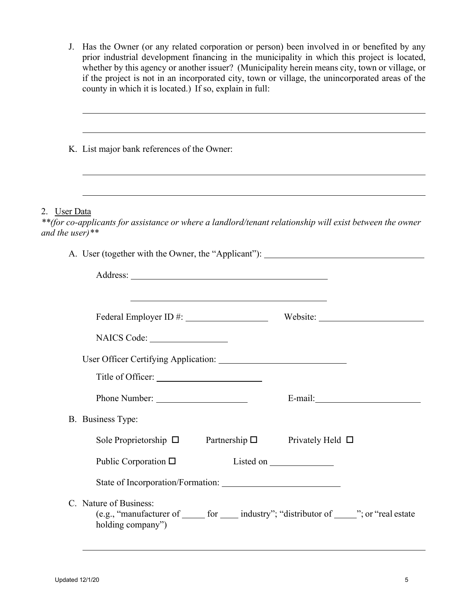| J. Has the Owner (or any related corporation or person) been involved in or benefited by any    |
|-------------------------------------------------------------------------------------------------|
| prior industrial development financing in the municipality in which this project is located,    |
| whether by this agency or another issuer? (Municipality herein means city, town or village, or  |
| if the project is not in an incorporated city, town or village, the unincorporated areas of the |
| county in which it is located.) If so, explain in full:                                         |

| K. List major bank references of the Owner: |                                                                                                                                               |                        |
|---------------------------------------------|-----------------------------------------------------------------------------------------------------------------------------------------------|------------------------|
|                                             |                                                                                                                                               |                        |
| 2. User Data<br>and the user)**             | **(for co-applicants for assistance or where a landlord/tenant relationship will exist between the owner                                      |                        |
|                                             | A. User (together with the Owner, the "Applicant"): ____________________________                                                              |                        |
|                                             |                                                                                                                                               |                        |
|                                             | <u> 1980 - Johann Barn, amerikansk politiker (d. 1980)</u>                                                                                    |                        |
|                                             |                                                                                                                                               | Website: New York 1988 |
|                                             | NAICS Code:                                                                                                                                   |                        |
|                                             |                                                                                                                                               |                        |
|                                             |                                                                                                                                               |                        |
|                                             |                                                                                                                                               |                        |
|                                             | B. Business Type:                                                                                                                             |                        |
|                                             | Sole Proprietorship $\Box$<br>Partnership $\square$                                                                                           | Privately Held $\Box$  |
|                                             | Public Corporation $\Box$<br>Listed on _                                                                                                      |                        |
|                                             |                                                                                                                                               |                        |
|                                             | C. Nature of Business:<br>(e.g., "manufacturer of _______ for ______ industry"; "distributor of ______"; or "real estate<br>holding company") |                        |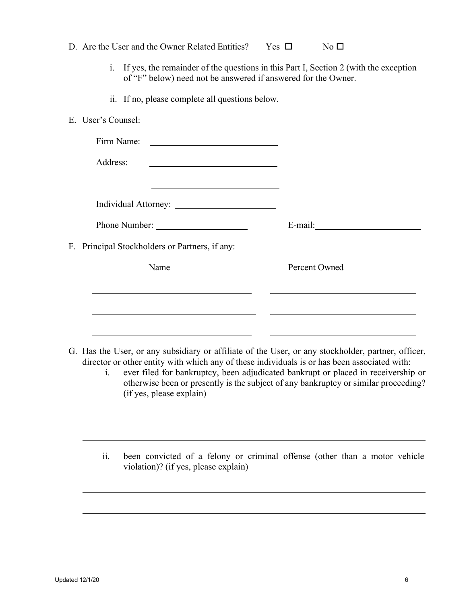|                                                | D. Are the User and the Owner Related Entities? Yes $\Box$          | No <sub>1</sub>                                                                                                                                                                                                                                                                         |
|------------------------------------------------|---------------------------------------------------------------------|-----------------------------------------------------------------------------------------------------------------------------------------------------------------------------------------------------------------------------------------------------------------------------------------|
|                                                | of "F" below) need not be answered if answered for the Owner.       | i. If yes, the remainder of the questions in this Part I, Section 2 (with the exception                                                                                                                                                                                                 |
|                                                | ii. If no, please complete all questions below.                     |                                                                                                                                                                                                                                                                                         |
| E. User's Counsel:                             |                                                                     |                                                                                                                                                                                                                                                                                         |
| Firm Name:                                     | <u> 2002 - Jan James Barnett, fransk politik (d. 1878)</u>          |                                                                                                                                                                                                                                                                                         |
| Address:                                       |                                                                     |                                                                                                                                                                                                                                                                                         |
|                                                | <u> 1989 - Johann Stein, mars an deus Amerikaansk kommunister (</u> |                                                                                                                                                                                                                                                                                         |
|                                                |                                                                     |                                                                                                                                                                                                                                                                                         |
|                                                |                                                                     |                                                                                                                                                                                                                                                                                         |
| F. Principal Stockholders or Partners, if any: |                                                                     |                                                                                                                                                                                                                                                                                         |
| Name                                           |                                                                     | Percent Owned                                                                                                                                                                                                                                                                           |
|                                                |                                                                     |                                                                                                                                                                                                                                                                                         |
|                                                |                                                                     |                                                                                                                                                                                                                                                                                         |
|                                                |                                                                     |                                                                                                                                                                                                                                                                                         |
| 1.                                             |                                                                     | G. Has the User, or any subsidiary or affiliate of the User, or any stockholder, partner, officer,<br>director or other entity with which any of these individuals is or has been associated with:<br>ever filed for bankruptcy, been adjudicated bankrupt or placed in receivership or |
|                                                | (if yes, please explain)                                            | otherwise been or presently is the subject of any bankruptcy or similar proceeding?                                                                                                                                                                                                     |
|                                                |                                                                     |                                                                                                                                                                                                                                                                                         |
|                                                |                                                                     |                                                                                                                                                                                                                                                                                         |
| ii.                                            | violation)? (if yes, please explain)                                | been convicted of a felony or criminal offense (other than a motor vehicle                                                                                                                                                                                                              |
|                                                |                                                                     |                                                                                                                                                                                                                                                                                         |
|                                                |                                                                     |                                                                                                                                                                                                                                                                                         |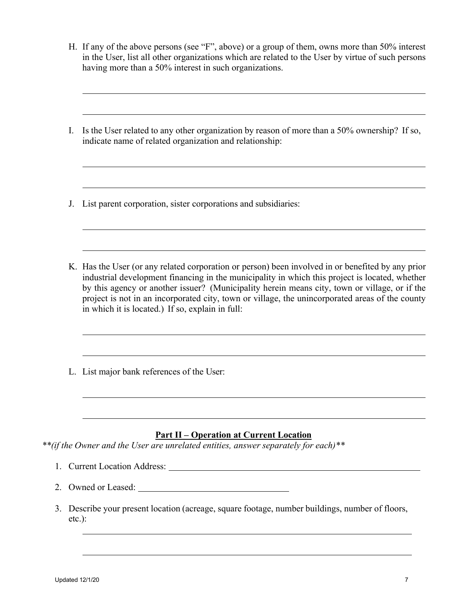- H. If any of the above persons (see "F", above) or a group of them, owns more than 50% interest in the User, list all other organizations which are related to the User by virtue of such persons having more than a 50% interest in such organizations.
- I. Is the User related to any other organization by reason of more than a 50% ownership? If so, indicate name of related organization and relationship:

J. List parent corporation, sister corporations and subsidiaries:

- K. Has the User (or any related corporation or person) been involved in or benefited by any prior industrial development financing in the municipality in which this project is located, whether by this agency or another issuer? (Municipality herein means city, town or village, or if the project is not in an incorporated city, town or village, the unincorporated areas of the county in which it is located.) If so, explain in full:
- L. List major bank references of the User:

## **Part II – Operation at Current Location**

*\*\*(if the Owner and the User are unrelated entities, answer separately for each)\*\** 

- 1. Current Location Address:
- 2. Owned or Leased:
- 3. Describe your present location (acreage, square footage, number buildings, number of floors, etc.):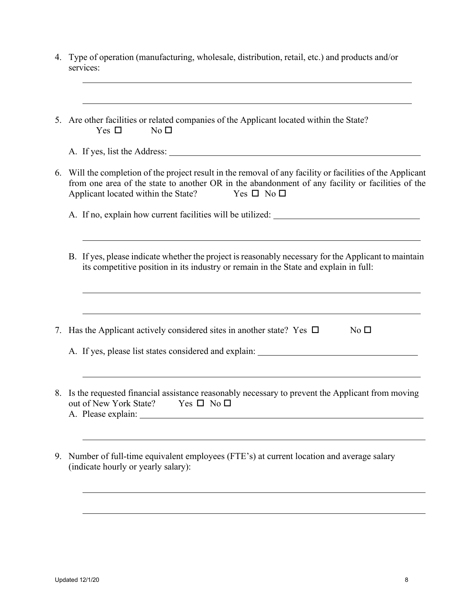| 4. Type of operation (manufacturing, wholesale, distribution, retail, etc.) and products and/or<br>services:                                                                                                                                                                  |
|-------------------------------------------------------------------------------------------------------------------------------------------------------------------------------------------------------------------------------------------------------------------------------|
| ,我们也不会有什么。""我们的人,我们也不会有什么?""我们的人,我们也不会有什么?""我们的人,我们也不会有什么?""我们的人,我们也不会有什么?""我们的人<br>5. Are other facilities or related companies of the Applicant located within the State?<br>Yes $\Box$<br>No <sub>1</sub>                                                                  |
|                                                                                                                                                                                                                                                                               |
| 6. Will the completion of the project result in the removal of any facility or facilities of the Applicant<br>from one area of the state to another OR in the abandonment of any facility or facilities of the<br>Applicant located within the State?<br>Yes $\Box$ No $\Box$ |
|                                                                                                                                                                                                                                                                               |
|                                                                                                                                                                                                                                                                               |
| B. If yes, please indicate whether the project is reasonably necessary for the Applicant to maintain<br>its competitive position in its industry or remain in the State and explain in full:                                                                                  |
|                                                                                                                                                                                                                                                                               |
| 7. Has the Applicant actively considered sites in another state? Yes $\Box$<br>No $\square$                                                                                                                                                                                   |
| A. If yes, please list states considered and explain: ___________________________                                                                                                                                                                                             |
| ,我们也不会有什么。""我们的人,我们也不会有什么?""我们的人,我们也不会有什么?""我们的人,我们也不会有什么?""我们的人,我们也不会有什么?""我们的人                                                                                                                                                                                              |
| 8. Is the requested financial assistance reasonably necessary to prevent the Applicant from moving<br>out of New York State? Yes □ No □                                                                                                                                       |
|                                                                                                                                                                                                                                                                               |
| 9. Number of full-time equivalent employees (FTE's) at current location and average salary<br>(indicate hourly or yearly salary):                                                                                                                                             |
|                                                                                                                                                                                                                                                                               |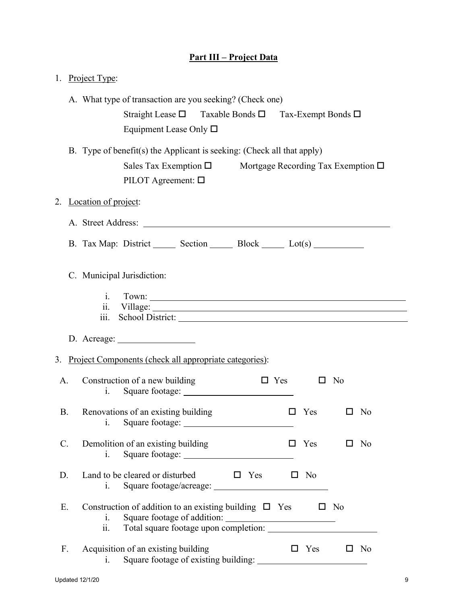|  | <b>Part III – Project Data</b> |  |
|--|--------------------------------|--|
|  |                                |  |

| 1. Project Type: |  |                                                                                                                                                                                  |
|------------------|--|----------------------------------------------------------------------------------------------------------------------------------------------------------------------------------|
|                  |  | A. What type of transaction are you seeking? (Check one)<br>Straight Lease □ Taxable Bonds □ Tax-Exempt Bonds □<br>Equipment Lease Only $\square$                                |
|                  |  | B. Type of benefit(s) the Applicant is seeking: (Check all that apply)<br>Sales Tax Exemption $\square$<br>Mortgage Recording Tax Exemption $\Box$<br>PILOT Agreement: $\square$ |
|                  |  | 2. Location of project:                                                                                                                                                          |
|                  |  |                                                                                                                                                                                  |
|                  |  | B. Tax Map: District ________ Section ________ Block ________ Lot(s) ___________                                                                                                 |
|                  |  | C. Municipal Jurisdiction:                                                                                                                                                       |
|                  |  | Town:<br>1.<br>111.                                                                                                                                                              |
|                  |  | D. Acreage: $\frac{1}{\sqrt{1-\frac{1}{2}} \cdot \frac{1}{2}}$                                                                                                                   |
|                  |  | 3. Project Components (check all appropriate categories):                                                                                                                        |
| A.               |  | Construction of a new building<br>$\Box$ Yes<br>No.<br>Ц<br>1.                                                                                                                   |
| В.               |  | Renovations of an existing building<br>Yes<br>$\Box$ No<br>Square footage:<br>i.                                                                                                 |
| $\mathbf{C}$ .   |  | Demolition of an existing building<br>$\Box$ Yes $\Box$ No<br>Square footage:<br>i.                                                                                              |
| D.               |  | Land to be cleared or disturbed $\Box$ Yes $\Box$ No<br>$\mathbf{i}$ .                                                                                                           |
| Ε.               |  | Construction of addition to an existing building $\Box$ Yes $\Box$ No<br>1.<br>ii.                                                                                               |
| F.               |  | Acquisition of an existing building<br>$\Box$ Yes $\Box$ No<br>i.                                                                                                                |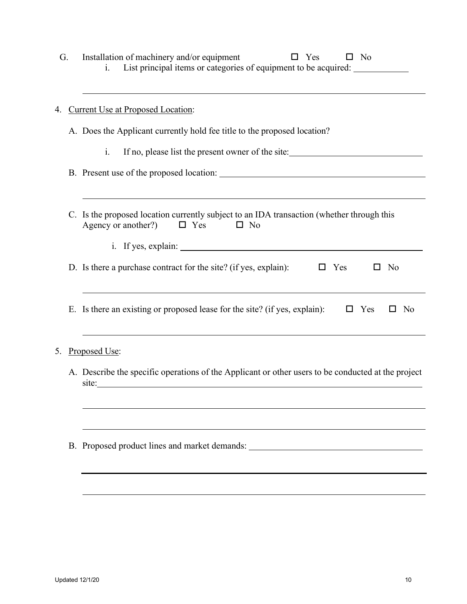| G. | Installation of machinery and/or equipment<br>$\Box$ Yes<br>$\Box$ No<br>List principal items or categories of equipment to be acquired: ________________<br>$\mathbf{i}$ . |
|----|-----------------------------------------------------------------------------------------------------------------------------------------------------------------------------|
|    | 4. Current Use at Proposed Location:                                                                                                                                        |
|    | A. Does the Applicant currently hold fee title to the proposed location?                                                                                                    |
|    | $\mathbf{i}$ .<br>If no, please list the present owner of the site:                                                                                                         |
|    |                                                                                                                                                                             |
|    | C. Is the proposed location currently subject to an IDA transaction (whether through this<br>Agency or another?)<br>$\square$ No<br>$\Box$ Yes                              |
|    |                                                                                                                                                                             |
|    | D. Is there a purchase contract for the site? (if yes, explain): $\square$ Yes<br>N <sub>o</sub><br>$\Box$                                                                  |
|    | E. Is there an existing or proposed lease for the site? (if yes, explain):<br>$\Box$ Yes<br>$\square$ No                                                                    |
|    | 5. Proposed Use:                                                                                                                                                            |
|    | A. Describe the specific operations of the Applicant or other users to be conducted at the project<br>site:                                                                 |
|    | B. Proposed product lines and market demands: __________________________________                                                                                            |
|    |                                                                                                                                                                             |
|    |                                                                                                                                                                             |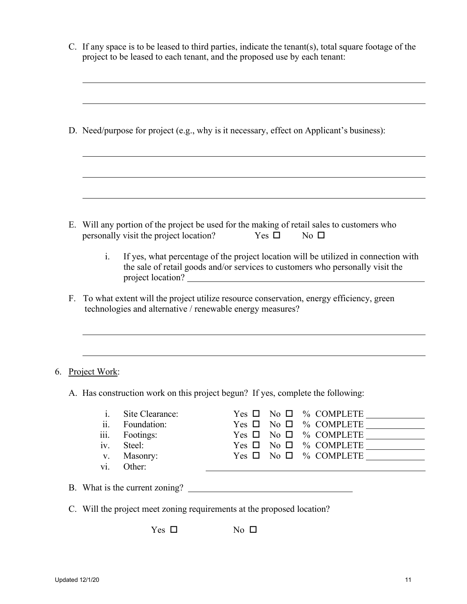|    | C. If any space is to be leased to third parties, indicate the tenant(s), total square footage of the<br>project to be leased to each tenant, and the proposed use by each tenant:<br>D. Need/purpose for project (e.g., why is it necessary, effect on Applicant's business): |                                                                             |                                                                                                                                                                                                              |
|----|--------------------------------------------------------------------------------------------------------------------------------------------------------------------------------------------------------------------------------------------------------------------------------|-----------------------------------------------------------------------------|--------------------------------------------------------------------------------------------------------------------------------------------------------------------------------------------------------------|
|    |                                                                                                                                                                                                                                                                                |                                                                             |                                                                                                                                                                                                              |
|    |                                                                                                                                                                                                                                                                                |                                                                             |                                                                                                                                                                                                              |
|    | $\mathbf{i}$ .                                                                                                                                                                                                                                                                 | personally visit the project location?                                      | E. Will any portion of the project be used for the making of retail sales to customers who<br>Yes $\Box$<br>$No \Box$<br>If yes, what percentage of the project location will be utilized in connection with |
|    |                                                                                                                                                                                                                                                                                |                                                                             | the sale of retail goods and/or services to customers who personally visit the                                                                                                                               |
|    |                                                                                                                                                                                                                                                                                |                                                                             |                                                                                                                                                                                                              |
| F. |                                                                                                                                                                                                                                                                                |                                                                             | To what extent will the project utilize resource conservation, energy efficiency, green<br>technologies and alternative / renewable energy measures?                                                         |
|    | 6. Project Work:                                                                                                                                                                                                                                                               |                                                                             |                                                                                                                                                                                                              |
|    |                                                                                                                                                                                                                                                                                |                                                                             | A. Has construction work on this project begun? If yes, complete the following:                                                                                                                              |
|    | i.<br>ii.<br>iii.<br>iv.<br>V.<br>vi.                                                                                                                                                                                                                                          | Site Clearance:<br>Foundation:<br>Footings:<br>Steel:<br>Masonry:<br>Other: | % COMPLETE<br>Yes $\Box$<br>No $\square$<br>No $\square$ % COMPLETE $\_\_$<br>Yes $\Box$<br>$Yes \Box No \Box \% COMPLETE \_$<br>$Yes \Box No \Box \% COMPLETE \_$                                           |
|    |                                                                                                                                                                                                                                                                                |                                                                             |                                                                                                                                                                                                              |
|    |                                                                                                                                                                                                                                                                                |                                                                             | C. Will the project meet zoning requirements at the proposed location?                                                                                                                                       |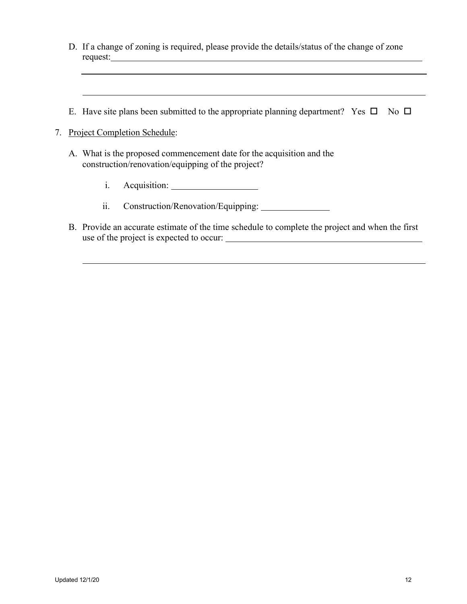- D. If a change of zoning is required, please provide the details/status of the change of zone request:
- E. Have site plans been submitted to the appropriate planning department? Yes  $\square$  No  $\square$
- 7. Project Completion Schedule:
	- A. What is the proposed commencement date for the acquisition and the construction/renovation/equipping of the project?
		- i. Acquisition:
		- ii. Construction/Renovation/Equipping: \_\_\_\_\_\_\_\_\_\_\_
	- B. Provide an accurate estimate of the time schedule to complete the project and when the first use of the project is expected to occur: <u> 1980 - Johann Barbara, martin a</u>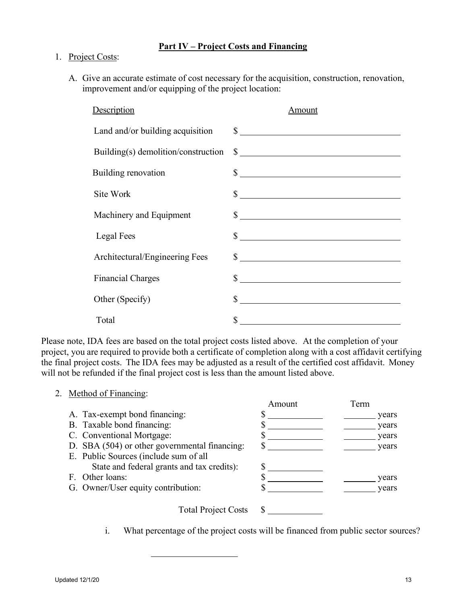## **Part IV – Project Costs and Financing**

### 1. Project Costs:

A. Give an accurate estimate of cost necessary for the acquisition, construction, renovation, improvement and/or equipping of the project location:

| Description                         | Amount                                                                                                                     |
|-------------------------------------|----------------------------------------------------------------------------------------------------------------------------|
| Land and/or building acquisition    | $\sim$                                                                                                                     |
| Building(s) demolition/construction | $\frac{1}{2}$                                                                                                              |
| Building renovation                 | $\sim$                                                                                                                     |
| Site Work                           | $\sim$                                                                                                                     |
| Machinery and Equipment             |                                                                                                                            |
| Legal Fees                          |                                                                                                                            |
|                                     | $\frac{1}{2}$                                                                                                              |
| Architectural/Engineering Fees      |                                                                                                                            |
| <b>Financial Charges</b>            | $\frac{1}{2}$                                                                                                              |
| Other (Specify)                     | \$<br><u> 1989 - Andrea Station Barbara, amerikan per</u>                                                                  |
|                                     |                                                                                                                            |
| Total                               | \$<br><u> 1980 - Johann Barn, mars ann an t-Amhain Aonaich an t-Aonaich an t-Aonaich ann an t-Aonaich ann an t-Aonaich</u> |

Please note, IDA fees are based on the total project costs listed above. At the completion of your project, you are required to provide both a certificate of completion along with a cost affidavit certifying the final project costs. The IDA fees may be adjusted as a result of the certified cost affidavit. Money will not be refunded if the final project cost is less than the amount listed above.

### 2. Method of Financing:

|                                               | Amount | Term  |
|-----------------------------------------------|--------|-------|
| A. Tax-exempt bond financing:                 |        | years |
| B. Taxable bond financing:                    |        | years |
| C. Conventional Mortgage:                     |        | years |
| D. SBA (504) or other governmental financing: |        | years |
| E. Public Sources (include sum of all         |        |       |
| State and federal grants and tax credits):    |        |       |
| F. Other loans:                               |        | years |
| G. Owner/User equity contribution:            |        | vears |
|                                               |        |       |
|                                               |        |       |

Total Project Costs \$

i. What percentage of the project costs will be financed from public sector sources?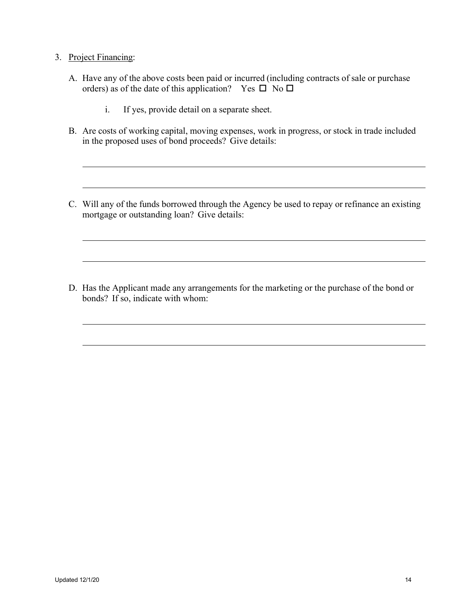### 3. Project Financing:

- A. Have any of the above costs been paid or incurred (including contracts of sale or purchase orders) as of the date of this application? Yes  $\square$  No  $\square$ 
	- i. If yes, provide detail on a separate sheet.
- B. Are costs of working capital, moving expenses, work in progress, or stock in trade included in the proposed uses of bond proceeds? Give details:
- C. Will any of the funds borrowed through the Agency be used to repay or refinance an existing mortgage or outstanding loan? Give details:

D. Has the Applicant made any arrangements for the marketing or the purchase of the bond or bonds? If so, indicate with whom: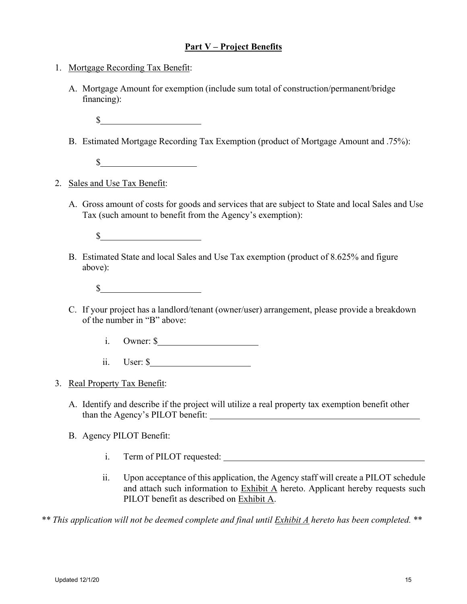### **Part V – Project Benefits**

- 1. Mortgage Recording Tax Benefit:
	- A. Mortgage Amount for exemption (include sum total of construction/permanent/bridge financing):
		- **\$**
	- B. Estimated Mortgage Recording Tax Exemption (product of Mortgage Amount and .75%):
		- $\frac{1}{2}$   $\frac{1}{2}$   $\frac{1}{2}$   $\frac{1}{2}$   $\frac{1}{2}$   $\frac{1}{2}$   $\frac{1}{2}$   $\frac{1}{2}$   $\frac{1}{2}$   $\frac{1}{2}$   $\frac{1}{2}$   $\frac{1}{2}$   $\frac{1}{2}$   $\frac{1}{2}$   $\frac{1}{2}$   $\frac{1}{2}$   $\frac{1}{2}$   $\frac{1}{2}$   $\frac{1}{2}$   $\frac{1}{2}$   $\frac{1}{2}$   $\frac{1}{2}$
- 2. Sales and Use Tax Benefit:
	- A. Gross amount of costs for goods and services that are subject to State and local Sales and Use Tax (such amount to benefit from the Agency's exemption):
		- $\sim$
	- B. Estimated State and local Sales and Use Tax exemption (product of 8.625% and figure above):
		- $\mathbb{S}$
	- C. If your project has a landlord/tenant (owner/user) arrangement, please provide a breakdown of the number in "B" above:
		- i. Owner: \$
		- ii. User: \$
- 3. Real Property Tax Benefit:
	- A. Identify and describe if the project will utilize a real property tax exemption benefit other than the Agency's PILOT benefit:
	- B. Agency PILOT Benefit:
		- i. Term of PILOT requested:
		- ii. Upon acceptance of this application, the Agency staff will create a PILOT schedule and attach such information to Exhibit A hereto. Applicant hereby requests such PILOT benefit as described on Exhibit A.

*\*\* This application will not be deemed complete and final until Exhibit A hereto has been completed.* \*\*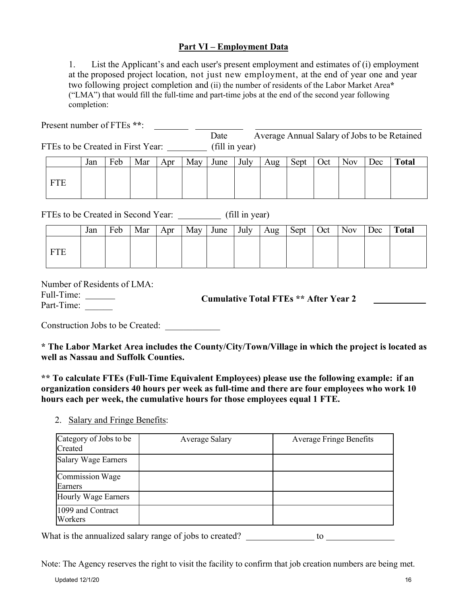## **Part VI – Employment Data**

1. List the Applicant's and each user's present employment and estimates of (i) employment at the proposed project location, not just new employment, at the end of year one and year two following project completion and (ii) the number of residents of the Labor Market Area**\*** ("LMA") that would fill the full-time and part-time jobs at the end of the second year following completion:

Present number of FTEs **\*\***:

Date Average Annual Salary of Jobs to be Retained FTEs to be Created in First Year: (fill in year)

|            | Jan | Feb | Mar | Apr | May | June | July | Aug | Sept | Oct | <b>Nov</b> | Dec | <b>Total</b> |
|------------|-----|-----|-----|-----|-----|------|------|-----|------|-----|------------|-----|--------------|
| <b>FTF</b> |     |     |     |     |     |      |      |     |      |     |            |     |              |

FTEs to be Created in Second Year: (fill in year)

| Jan | Feb | Mar | Apr | May | June | July | Aug | Sept | Oct | <b>Nov</b> | Dec | <b>Total</b> |
|-----|-----|-----|-----|-----|------|------|-----|------|-----|------------|-----|--------------|
|     |     |     |     |     |      |      |     |      |     |            |     |              |

Number of Residents of LMA:

Full-Time:

Part-Time: \_\_\_\_\_\_ **Cumulative Total FTEs \*\* After Year 2** 

Construction Jobs to be Created:

**\* The Labor Market Area includes the County/City/Town/Village in which the project is located as well as Nassau and Suffolk Counties.** 

**\*\* To calculate FTEs (Full-Time Equivalent Employees) please use the following example: if an organization considers 40 hours per week as full-time and there are four employees who work 10 hours each per week, the cumulative hours for those employees equal 1 FTE.** 

2. Salary and Fringe Benefits:

| Category of Jobs to be<br>Created | <b>Average Salary</b> | <b>Average Fringe Benefits</b> |
|-----------------------------------|-----------------------|--------------------------------|
| <b>Salary Wage Earners</b>        |                       |                                |
| Commission Wage<br>Earners        |                       |                                |
| Hourly Wage Earners               |                       |                                |
| 1099 and Contract<br>Workers      |                       |                                |

What is the annualized salary range of jobs to created?  $\qquad \qquad$  to

Note: The Agency reserves the right to visit the facility to confirm that job creation numbers are being met.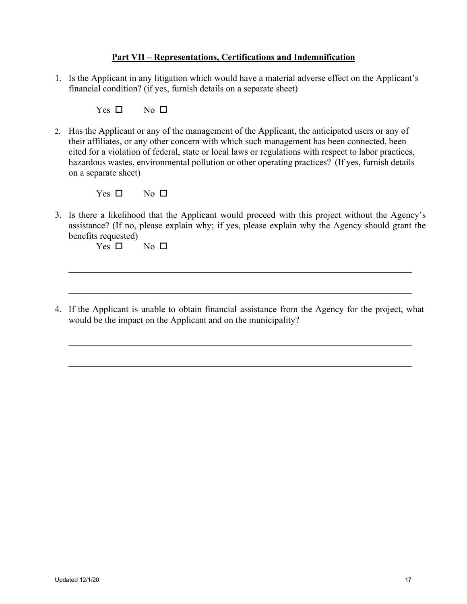### **Part VII – Representations, Certifications and Indemnification**

1. Is the Applicant in any litigation which would have a material adverse effect on the Applicant's financial condition? (if yes, furnish details on a separate sheet)

Yes  $\square$  No  $\square$ 

2. Has the Applicant or any of the management of the Applicant, the anticipated users or any of their affiliates, or any other concern with which such management has been connected, been cited for a violation of federal, state or local laws or regulations with respect to labor practices, hazardous wastes, environmental pollution or other operating practices? (If yes, furnish details on a separate sheet)

Yes  $\square$  No  $\square$ 

3. Is there a likelihood that the Applicant would proceed with this project without the Agency's assistance? (If no, please explain why; if yes, please explain why the Agency should grant the benefits requested)

Yes  $\square$  No  $\square$ 

4. If the Applicant is unable to obtain financial assistance from the Agency for the project, what would be the impact on the Applicant and on the municipality?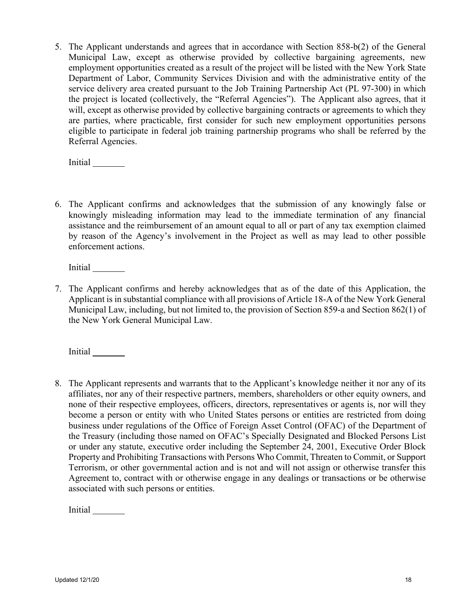5. The Applicant understands and agrees that in accordance with Section 858-b(2) of the General Municipal Law, except as otherwise provided by collective bargaining agreements, new employment opportunities created as a result of the project will be listed with the New York State Department of Labor, Community Services Division and with the administrative entity of the service delivery area created pursuant to the Job Training Partnership Act (PL 97-300) in which the project is located (collectively, the "Referral Agencies"). The Applicant also agrees, that it will, except as otherwise provided by collective bargaining contracts or agreements to which they are parties, where practicable, first consider for such new employment opportunities persons eligible to participate in federal job training partnership programs who shall be referred by the Referral Agencies.

Initial

6. The Applicant confirms and acknowledges that the submission of any knowingly false or knowingly misleading information may lead to the immediate termination of any financial assistance and the reimbursement of an amount equal to all or part of any tax exemption claimed by reason of the Agency's involvement in the Project as well as may lead to other possible enforcement actions.

Initial

7. The Applicant confirms and hereby acknowledges that as of the date of this Application, the Applicant is in substantial compliance with all provisions of Article 18-A of the New York General Municipal Law, including, but not limited to, the provision of Section 859-a and Section 862(1) of the New York General Municipal Law.

Initial

8. The Applicant represents and warrants that to the Applicant's knowledge neither it nor any of its affiliates, nor any of their respective partners, members, shareholders or other equity owners, and none of their respective employees, officers, directors, representatives or agents is, nor will they become a person or entity with who United States persons or entities are restricted from doing business under regulations of the Office of Foreign Asset Control (OFAC) of the Department of the Treasury (including those named on OFAC's Specially Designated and Blocked Persons List or under any statute, executive order including the September 24, 2001, Executive Order Block Property and Prohibiting Transactions with Persons Who Commit, Threaten to Commit, or Support Terrorism, or other governmental action and is not and will not assign or otherwise transfer this Agreement to, contract with or otherwise engage in any dealings or transactions or be otherwise associated with such persons or entities.

Initial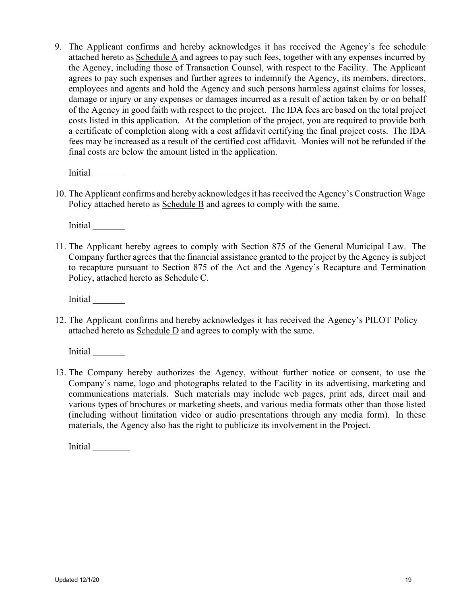9. The Applicant confirms and hereby acknowledges it has received the Agency's fee schedule attached hereto as Schedule A and agrees to pay such fees, together with any expenses incurred by the Agency, including those of Transaction Counsel, with respect to the Facility. The Applicant agrees to pay such expenses and further agrees to indemnify the Agency, its members, directors, employees and agents and hold the Agency and such persons harmless against claims for losses, damage or injury or any expenses or damages incurred as a result of action taken by or on behalf of the Agency in good faith with respect to the project. The IDA fees are based on the total project costs listed in this application. At the completion of the project, you are required to provide both a certificate of completion along with a cost affidavit certifying the final project costs. The IDA fees may be increased as a result of the certified cost affidavit. Monies will not be refunded if the final costs are below the amount listed in the application.

Initial

10. The Applicant confirms and hereby acknowledges it has received the Agency's Construction Wage Policy attached hereto as Schedule B and agrees to comply with the same.

Initial

11. The Applicant hereby agrees to comply with Section 875 of the General Municipal Law. The Company further agrees that the financial assistance granted to the project by the Agency is subject to recapture pursuant to Section 875 of the Act and the Agency's Recapture and Termination Policy, attached hereto as Schedule C.

Initial

12. The Applicant confirms and hereby acknowledges it has received the Agency's PILOT Policy attached hereto as Schedule D and agrees to comply with the same.

Initial

13. The Company hereby authorizes the Agency, without further notice or consent, to use the Company's name, logo and photographs related to the Facility in its advertising, marketing and communications materials. Such materials may include web pages, print ads, direct mail and various types of brochures or marketing sheets, and various media formats other than those listed (including without limitation video or audio presentations through any media form). In these materials, the Agency also has the right to publicize its involvement in the Project.

Initial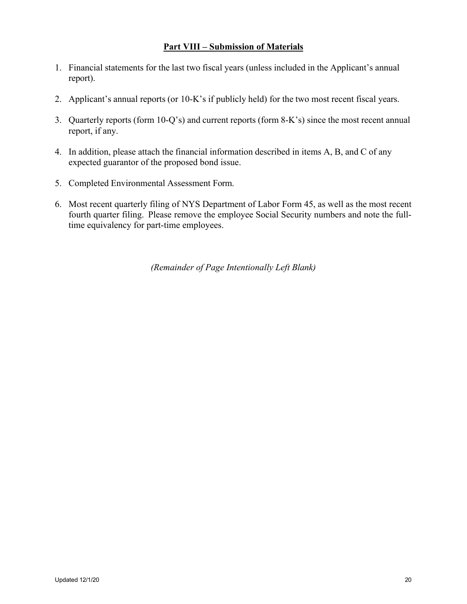## **Part VIII – Submission of Materials**

- 1. Financial statements for the last two fiscal years (unless included in the Applicant's annual report).
- 2. Applicant's annual reports (or 10-K's if publicly held) for the two most recent fiscal years.
- 3. Quarterly reports (form 10-Q's) and current reports (form 8-K's) since the most recent annual report, if any.
- 4. In addition, please attach the financial information described in items A, B, and C of any expected guarantor of the proposed bond issue.
- 5. Completed Environmental Assessment Form.
- 6. Most recent quarterly filing of NYS Department of Labor Form 45, as well as the most recent fourth quarter filing. Please remove the employee Social Security numbers and note the fulltime equivalency for part-time employees.

*(Remainder of Page Intentionally Left Blank)*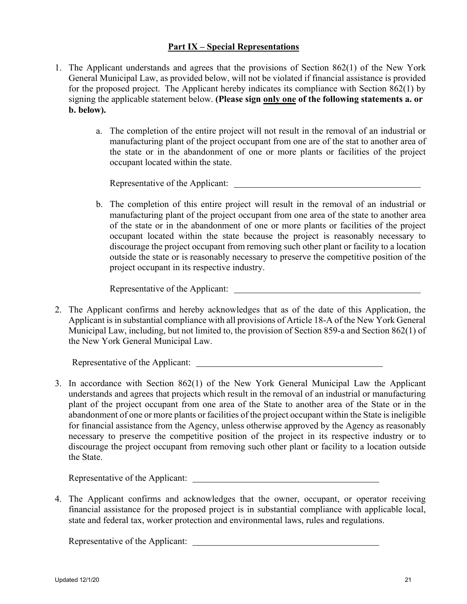## **Part IX – Special Representations**

- 1. The Applicant understands and agrees that the provisions of Section 862(1) of the New York General Municipal Law, as provided below, will not be violated if financial assistance is provided for the proposed project. The Applicant hereby indicates its compliance with Section 862(1) by signing the applicable statement below. **(Please sign only one of the following statements a. or b. below).** 
	- a. The completion of the entire project will not result in the removal of an industrial or manufacturing plant of the project occupant from one are of the stat to another area of the state or in the abandonment of one or more plants or facilities of the project occupant located within the state.

Representative of the Applicant:  $\overline{\phantom{a}}$ 

b. The completion of this entire project will result in the removal of an industrial or manufacturing plant of the project occupant from one area of the state to another area of the state or in the abandonment of one or more plants or facilities of the project occupant located within the state because the project is reasonably necessary to discourage the project occupant from removing such other plant or facility to a location outside the state or is reasonably necessary to preserve the competitive position of the project occupant in its respective industry.

Representative of the Applicant:

2. The Applicant confirms and hereby acknowledges that as of the date of this Application, the Applicant is in substantial compliance with all provisions of Article 18-A of the New York General Municipal Law, including, but not limited to, the provision of Section 859-a and Section 862(1) of the New York General Municipal Law.

Representative of the Applicant:

3. In accordance with Section 862(1) of the New York General Municipal Law the Applicant understands and agrees that projects which result in the removal of an industrial or manufacturing plant of the project occupant from one area of the State to another area of the State or in the abandonment of one or more plants or facilities of the project occupant within the State is ineligible for financial assistance from the Agency, unless otherwise approved by the Agency as reasonably necessary to preserve the competitive position of the project in its respective industry or to discourage the project occupant from removing such other plant or facility to a location outside the State.

Representative of the Applicant:

4. The Applicant confirms and acknowledges that the owner, occupant, or operator receiving financial assistance for the proposed project is in substantial compliance with applicable local, state and federal tax, worker protection and environmental laws, rules and regulations.

Representative of the Applicant: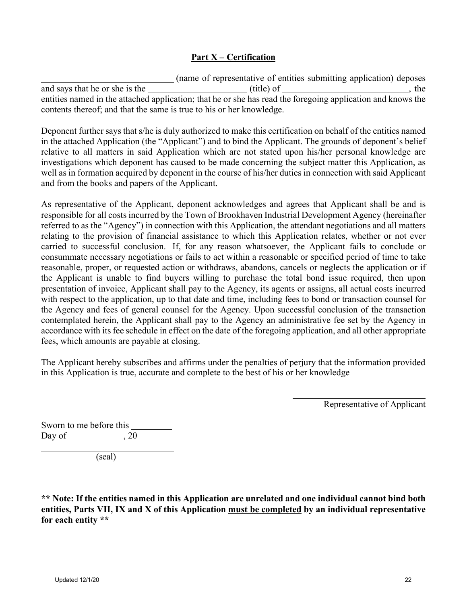## **Part X – Certification**

 (name of representative of entities submitting application) deposes and says that he or she is the  $\frac{1}{1}$  (title) of  $\frac{1}{1}$  (title) of  $\frac{1}{1}$ , the entities named in the attached application; that he or she has read the foregoing application and knows the contents thereof; and that the same is true to his or her knowledge.

Deponent further says that s/he is duly authorized to make this certification on behalf of the entities named in the attached Application (the "Applicant") and to bind the Applicant. The grounds of deponent's belief relative to all matters in said Application which are not stated upon his/her personal knowledge are investigations which deponent has caused to be made concerning the subject matter this Application, as well as in formation acquired by deponent in the course of his/her duties in connection with said Applicant and from the books and papers of the Applicant.

As representative of the Applicant, deponent acknowledges and agrees that Applicant shall be and is responsible for all costs incurred by the Town of Brookhaven Industrial Development Agency (hereinafter referred to as the "Agency") in connection with this Application, the attendant negotiations and all matters relating to the provision of financial assistance to which this Application relates, whether or not ever carried to successful conclusion. If, for any reason whatsoever, the Applicant fails to conclude or consummate necessary negotiations or fails to act within a reasonable or specified period of time to take reasonable, proper, or requested action or withdraws, abandons, cancels or neglects the application or if the Applicant is unable to find buyers willing to purchase the total bond issue required, then upon presentation of invoice, Applicant shall pay to the Agency, its agents or assigns, all actual costs incurred with respect to the application, up to that date and time, including fees to bond or transaction counsel for the Agency and fees of general counsel for the Agency. Upon successful conclusion of the transaction contemplated herein, the Applicant shall pay to the Agency an administrative fee set by the Agency in accordance with its fee schedule in effect on the date of the foregoing application, and all other appropriate fees, which amounts are payable at closing.

The Applicant hereby subscribes and affirms under the penalties of perjury that the information provided in this Application is true, accurate and complete to the best of his or her knowledge

Representative of Applicant

Sworn to me before this Day of  $\_\_\_\_$ , 20  $\_\_\_\_\_\_$ (seal)

**\*\* Note: If the entities named in this Application are unrelated and one individual cannot bind both entities, Parts VII, IX and X of this Application must be completed by an individual representative for each entity \*\***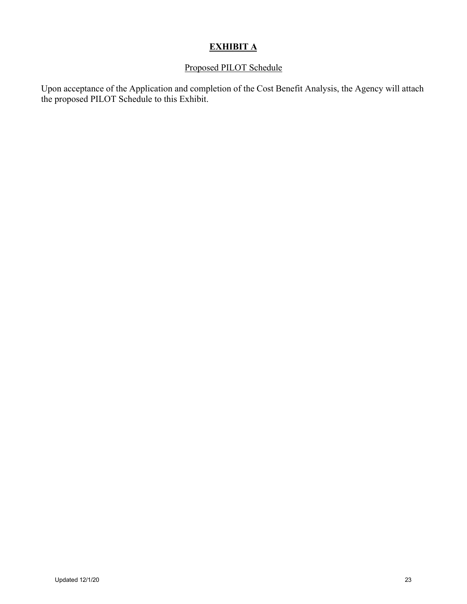# **EXHIBIT A**

## Proposed PILOT Schedule

Upon acceptance of the Application and completion of the Cost Benefit Analysis, the Agency will attach the proposed PILOT Schedule to this Exhibit.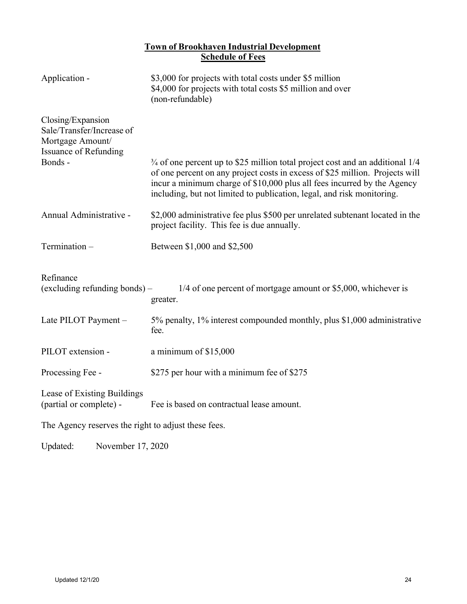## **Town of Brookhaven Industrial Development Schedule of Fees**

| Application -                                                                                      | \$3,000 for projects with total costs under \$5 million<br>\$4,000 for projects with total costs \$5 million and over<br>(non-refundable)                                                                                                                                                                                      |
|----------------------------------------------------------------------------------------------------|--------------------------------------------------------------------------------------------------------------------------------------------------------------------------------------------------------------------------------------------------------------------------------------------------------------------------------|
| Closing/Expansion<br>Sale/Transfer/Increase of<br>Mortgage Amount/<br><b>Issuance of Refunding</b> |                                                                                                                                                                                                                                                                                                                                |
| Bonds -                                                                                            | <sup>3/4</sup> of one percent up to \$25 million total project cost and an additional 1/4<br>of one percent on any project costs in excess of \$25 million. Projects will<br>incur a minimum charge of \$10,000 plus all fees incurred by the Agency<br>including, but not limited to publication, legal, and risk monitoring. |
| Annual Administrative -                                                                            | \$2,000 administrative fee plus \$500 per unrelated subtenant located in the<br>project facility. This fee is due annually.                                                                                                                                                                                                    |
| Termination -                                                                                      | Between \$1,000 and \$2,500                                                                                                                                                                                                                                                                                                    |
| Refinance<br>(excluding refunding bonds) -                                                         | 1/4 of one percent of mortgage amount or \$5,000, whichever is<br>greater.                                                                                                                                                                                                                                                     |
| Late PILOT Payment -                                                                               | 5% penalty, 1% interest compounded monthly, plus \$1,000 administrative<br>fee.                                                                                                                                                                                                                                                |
| PILOT extension -                                                                                  | a minimum of \$15,000                                                                                                                                                                                                                                                                                                          |
| Processing Fee -                                                                                   | \$275 per hour with a minimum fee of \$275                                                                                                                                                                                                                                                                                     |
| Lease of Existing Buildings<br>(partial or complete) -                                             | Fee is based on contractual lease amount.                                                                                                                                                                                                                                                                                      |
| The Agency reserves the right to adjust these fees.                                                |                                                                                                                                                                                                                                                                                                                                |

Updated: November 17, 2020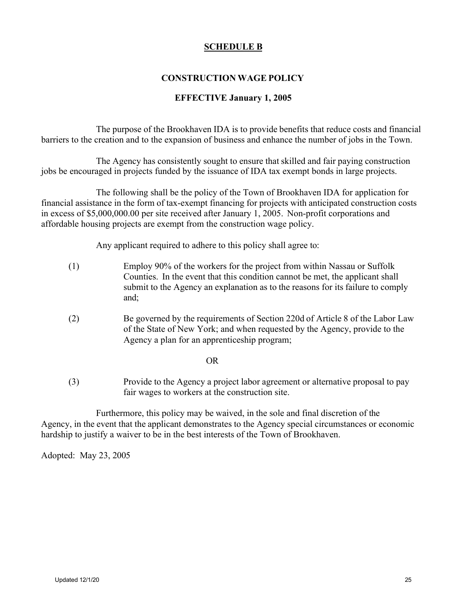### **SCHEDULE B**

## **CONSTRUCTION WAGE POLICY**

### **EFFECTIVE January 1, 2005**

The purpose of the Brookhaven IDA is to provide benefits that reduce costs and financial barriers to the creation and to the expansion of business and enhance the number of jobs in the Town.

The Agency has consistently sought to ensure that skilled and fair paying construction jobs be encouraged in projects funded by the issuance of IDA tax exempt bonds in large projects.

The following shall be the policy of the Town of Brookhaven IDA for application for financial assistance in the form of tax-exempt financing for projects with anticipated construction costs in excess of \$5,000,000.00 per site received after January 1, 2005. Non-profit corporations and affordable housing projects are exempt from the construction wage policy.

Any applicant required to adhere to this policy shall agree to:

- (1) Employ 90% of the workers for the project from within Nassau or Suffolk Counties. In the event that this condition cannot be met, the applicant shall submit to the Agency an explanation as to the reasons for its failure to comply and;
- (2) Be governed by the requirements of Section 220d of Article 8 of the Labor Law of the State of New York; and when requested by the Agency, provide to the Agency a plan for an apprenticeship program;

OR

(3) Provide to the Agency a project labor agreement or alternative proposal to pay fair wages to workers at the construction site.

Furthermore, this policy may be waived, in the sole and final discretion of the Agency, in the event that the applicant demonstrates to the Agency special circumstances or economic hardship to justify a waiver to be in the best interests of the Town of Brookhaven.

Adopted: May 23, 2005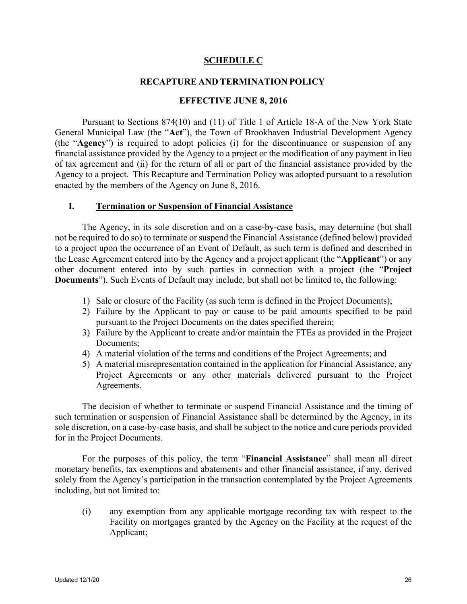### **SCHEDULE C**

### **RECAPTURE AND TERMINATION POLICY**

### **EFFECTIVE JUNE 8, 2016**

Pursuant to Sections 874(10) and (11) of Title 1 of Article 18-A of the New York State General Municipal Law (the "**Act**"), the Town of Brookhaven Industrial Development Agency (the "**Agency**") is required to adopt policies (i) for the discontinuance or suspension of any financial assistance provided by the Agency to a project or the modification of any payment in lieu of tax agreement and (ii) for the return of all or part of the financial assistance provided by the Agency to a project. This Recapture and Termination Policy was adopted pursuant to a resolution enacted by the members of the Agency on June 8, 2016.

### **I. Termination or Suspension of Financial Assistance**

The Agency, in its sole discretion and on a case-by-case basis, may determine (but shall not be required to do so) to terminate or suspend the Financial Assistance (defined below) provided to a project upon the occurrence of an Event of Default, as such term is defined and described in the Lease Agreement entered into by the Agency and a project applicant (the "**Applicant**") or any other document entered into by such parties in connection with a project (the "**Project Documents**"). Such Events of Default may include, but shall not be limited to, the following:

- 1) Sale or closure of the Facility (as such term is defined in the Project Documents);
- 2) Failure by the Applicant to pay or cause to be paid amounts specified to be paid pursuant to the Project Documents on the dates specified therein;
- 3) Failure by the Applicant to create and/or maintain the FTEs as provided in the Project Documents;
- 4) A material violation of the terms and conditions of the Project Agreements; and
- 5) A material misrepresentation contained in the application for Financial Assistance, any Project Agreements or any other materials delivered pursuant to the Project Agreements.

The decision of whether to terminate or suspend Financial Assistance and the timing of such termination or suspension of Financial Assistance shall be determined by the Agency, in its sole discretion, on a case-by-case basis, and shall be subject to the notice and cure periods provided for in the Project Documents.

For the purposes of this policy, the term "**Financial Assistance**" shall mean all direct monetary benefits, tax exemptions and abatements and other financial assistance, if any, derived solely from the Agency's participation in the transaction contemplated by the Project Agreements including, but not limited to:

(i) any exemption from any applicable mortgage recording tax with respect to the Facility on mortgages granted by the Agency on the Facility at the request of the Applicant;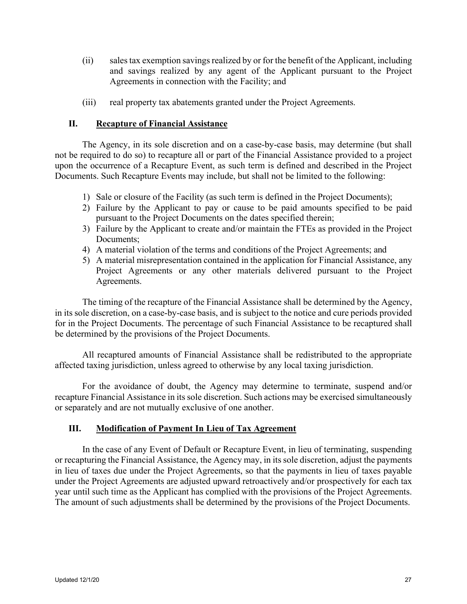- (ii) sales tax exemption savings realized by or for the benefit of the Applicant, including and savings realized by any agent of the Applicant pursuant to the Project Agreements in connection with the Facility; and
- (iii) real property tax abatements granted under the Project Agreements.

### **II. Recapture of Financial Assistance**

The Agency, in its sole discretion and on a case-by-case basis, may determine (but shall not be required to do so) to recapture all or part of the Financial Assistance provided to a project upon the occurrence of a Recapture Event, as such term is defined and described in the Project Documents. Such Recapture Events may include, but shall not be limited to the following:

- 1) Sale or closure of the Facility (as such term is defined in the Project Documents);
- 2) Failure by the Applicant to pay or cause to be paid amounts specified to be paid pursuant to the Project Documents on the dates specified therein;
- 3) Failure by the Applicant to create and/or maintain the FTEs as provided in the Project Documents;
- 4) A material violation of the terms and conditions of the Project Agreements; and
- 5) A material misrepresentation contained in the application for Financial Assistance, any Project Agreements or any other materials delivered pursuant to the Project Agreements.

The timing of the recapture of the Financial Assistance shall be determined by the Agency, in its sole discretion, on a case-by-case basis, and is subject to the notice and cure periods provided for in the Project Documents. The percentage of such Financial Assistance to be recaptured shall be determined by the provisions of the Project Documents.

All recaptured amounts of Financial Assistance shall be redistributed to the appropriate affected taxing jurisdiction, unless agreed to otherwise by any local taxing jurisdiction.

For the avoidance of doubt, the Agency may determine to terminate, suspend and/or recapture Financial Assistance in its sole discretion. Such actions may be exercised simultaneously or separately and are not mutually exclusive of one another.

### **III. Modification of Payment In Lieu of Tax Agreement**

In the case of any Event of Default or Recapture Event, in lieu of terminating, suspending or recapturing the Financial Assistance, the Agency may, in its sole discretion, adjust the payments in lieu of taxes due under the Project Agreements, so that the payments in lieu of taxes payable under the Project Agreements are adjusted upward retroactively and/or prospectively for each tax year until such time as the Applicant has complied with the provisions of the Project Agreements. The amount of such adjustments shall be determined by the provisions of the Project Documents.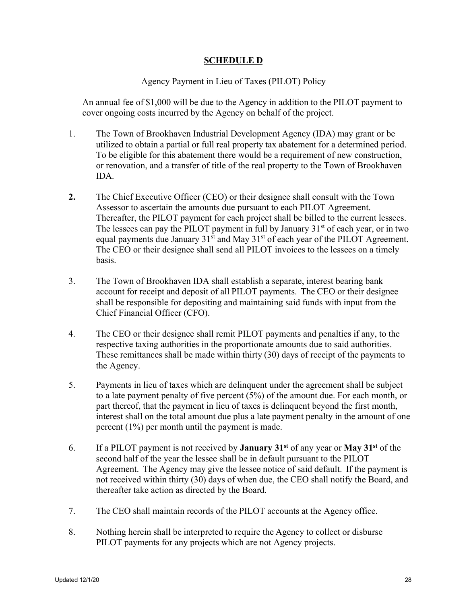## **SCHEDULE D**

### Agency Payment in Lieu of Taxes (PILOT) Policy

An annual fee of \$1,000 will be due to the Agency in addition to the PILOT payment to cover ongoing costs incurred by the Agency on behalf of the project.

- 1. The Town of Brookhaven Industrial Development Agency (IDA) may grant or be utilized to obtain a partial or full real property tax abatement for a determined period. To be eligible for this abatement there would be a requirement of new construction, or renovation, and a transfer of title of the real property to the Town of Brookhaven IDA.
- **2.** The Chief Executive Officer (CEO) or their designee shall consult with the Town Assessor to ascertain the amounts due pursuant to each PILOT Agreement. Thereafter, the PILOT payment for each project shall be billed to the current lessees. The lessees can pay the PILOT payment in full by January  $31<sup>st</sup>$  of each year, or in two equal payments due January  $31<sup>st</sup>$  and May  $31<sup>st</sup>$  of each year of the PILOT Agreement. The CEO or their designee shall send all PILOT invoices to the lessees on a timely basis.
- 3. The Town of Brookhaven IDA shall establish a separate, interest bearing bank account for receipt and deposit of all PILOT payments. The CEO or their designee shall be responsible for depositing and maintaining said funds with input from the Chief Financial Officer (CFO).
- 4. The CEO or their designee shall remit PILOT payments and penalties if any, to the respective taxing authorities in the proportionate amounts due to said authorities. These remittances shall be made within thirty (30) days of receipt of the payments to the Agency.
- 5. Payments in lieu of taxes which are delinquent under the agreement shall be subject to a late payment penalty of five percent (5%) of the amount due. For each month, or part thereof, that the payment in lieu of taxes is delinquent beyond the first month, interest shall on the total amount due plus a late payment penalty in the amount of one percent (1%) per month until the payment is made.
- 6. If a PILOT payment is not received by **January 31st** of any year or **May 31st** of the second half of the year the lessee shall be in default pursuant to the PILOT Agreement. The Agency may give the lessee notice of said default. If the payment is not received within thirty (30) days of when due, the CEO shall notify the Board, and thereafter take action as directed by the Board.
- 7. The CEO shall maintain records of the PILOT accounts at the Agency office.
- 8. Nothing herein shall be interpreted to require the Agency to collect or disburse PILOT payments for any projects which are not Agency projects.